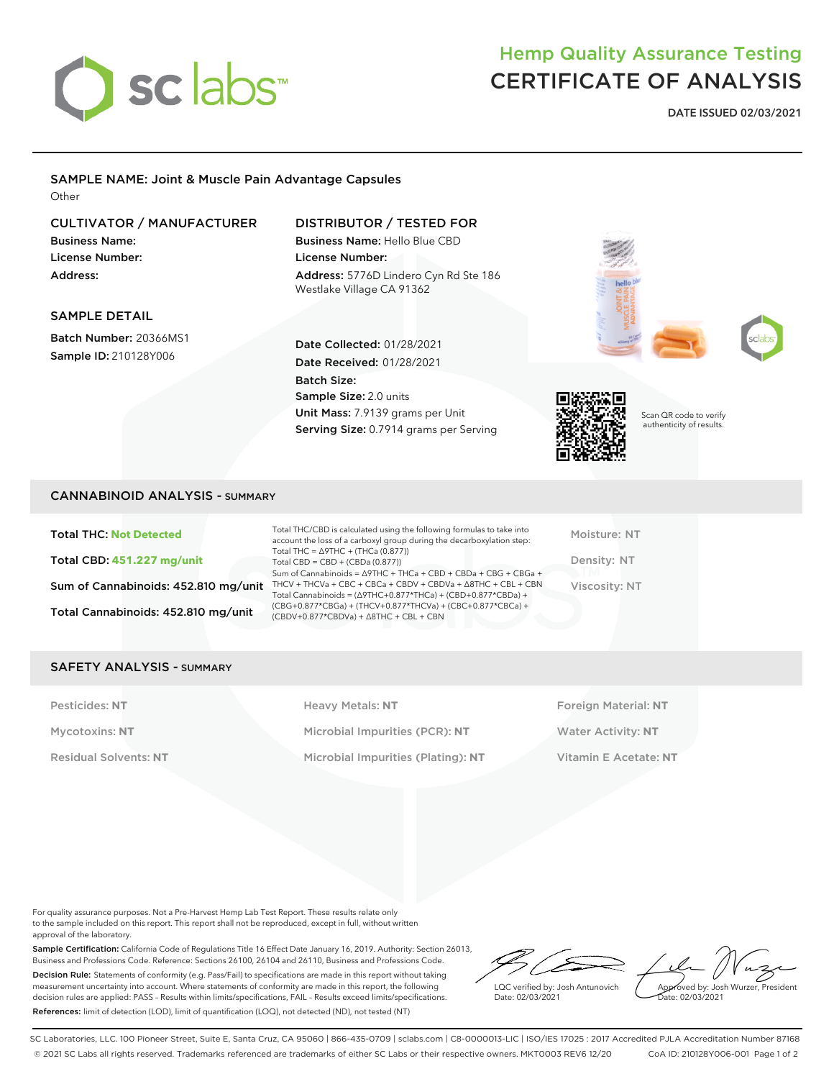

# Hemp Quality Assurance Testing CERTIFICATE OF ANALYSIS

**DATE ISSUED 02/03/2021**

#### SAMPLE NAME: Joint & Muscle Pain Advantage Capsules **Other**

### CULTIVATOR / MANUFACTURER

Business Name: License Number: Address:

SAMPLE DETAIL

Batch Number: 20366MS1 Sample ID: 210128Y006

## DISTRIBUTOR / TESTED FOR

Date Collected: 01/28/2021 Date Received: 01/28/2021

Unit Mass: 7.9139 grams per Unit Serving Size: 0.7914 grams per Serving

Sample Size: 2.0 units

Batch Size:

Business Name: Hello Blue CBD License Number: Address: 5776D Lindero Cyn Rd Ste 186 Westlake Village CA 91362





Scan QR code to verify authenticity of results.

#### CANNABINOID ANALYSIS - SUMMARY

Total THC: **Not Detected** Total CBD: **451.227 mg/unit** Sum of Cannabinoids: 452.810 mg/unit Total Cannabinoids: 452.810 mg/unit

Total THC/CBD is calculated using the following formulas to take into account the loss of a carboxyl group during the decarboxylation step: Total THC = ∆9THC + (THCa (0.877)) Total CBD = CBD + (CBDa (0.877)) Sum of Cannabinoids = ∆9THC + THCa + CBD + CBDa + CBG + CBGa + THCV + THCVa + CBC + CBCa + CBDV + CBDVa + ∆8THC + CBL + CBN Total Cannabinoids = (∆9THC+0.877\*THCa) + (CBD+0.877\*CBDa) + (CBG+0.877\*CBGa) + (THCV+0.877\*THCVa) + (CBC+0.877\*CBCa) + (CBDV+0.877\*CBDVa) + ∆8THC + CBL + CBN

Moisture: NT Density: NT Viscosity: NT

#### SAFETY ANALYSIS - SUMMARY

Pesticides: NT **All Accords** Heavy Metals: NT **Foreign Material: NT** Pesticides: NT Mycotoxins: **NT** Microbial Impurities (PCR): **NT** Water Activity: **NT** Residual Solvents: **NT** Microbial Impurities (Plating): **NT** Vitamin E Acetate: **NT**

For quality assurance purposes. Not a Pre-Harvest Hemp Lab Test Report. These results relate only to the sample included on this report. This report shall not be reproduced, except in full, without written approval of the laboratory.

Sample Certification: California Code of Regulations Title 16 Effect Date January 16, 2019. Authority: Section 26013, Business and Professions Code. Reference: Sections 26100, 26104 and 26110, Business and Professions Code. Decision Rule: Statements of conformity (e.g. Pass/Fail) to specifications are made in this report without taking measurement uncertainty into account. Where statements of conformity are made in this report, the following decision rules are applied: PASS – Results within limits/specifications, FAIL – Results exceed limits/specifications. References: limit of detection (LOD), limit of quantification (LOQ), not detected (ND), not tested (NT)

LQC verified by: Josh Antunovich Date: 02/03/2021

Approved by: Josh Wurzer, President ate: 02/03/2021

SC Laboratories, LLC. 100 Pioneer Street, Suite E, Santa Cruz, CA 95060 | 866-435-0709 | sclabs.com | C8-0000013-LIC | ISO/IES 17025 : 2017 Accredited PJLA Accreditation Number 87168 © 2021 SC Labs all rights reserved. Trademarks referenced are trademarks of either SC Labs or their respective owners. MKT0003 REV6 12/20 CoA ID: 210128Y006-001 Page 1 of 2